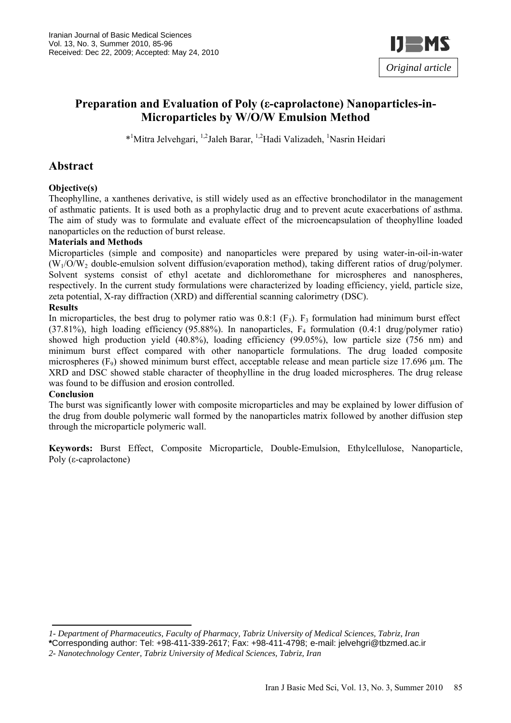

# **Preparation and Evaluation of Poly (ε-caprolactone) Nanoparticles-in-Microparticles by W/O/W Emulsion Method**

\*<sup>1</sup>Mitra Jelvehgari, <sup>1,2</sup>Jaleh Barar, <sup>1,2</sup>Hadi Valizadeh, <sup>1</sup>Nasrin Heidari

# **Abstract**

### **Objective(s)**

Theophylline, a xanthenes derivative, is still widely used as an effective bronchodilator in the management of asthmatic patients. It is used both as a prophylactic drug and to prevent acute exacerbations of asthma. The aim of study was to formulate and evaluate effect of the microencapsulation of theophylline loaded nanoparticles on the reduction of burst release.

### **Materials and Methods**

Microparticles (simple and composite) and nanoparticles were prepared by using water-in-oil-in-water  $(W_1/O/W_2)$  double-emulsion solvent diffusion/evaporation method), taking different ratios of drug/polymer. Solvent systems consist of ethyl acetate and dichloromethane for microspheres and nanospheres, respectively. In the current study formulations were characterized by loading efficiency, yield, particle size, zeta potential, X-ray diffraction (XRD) and differential scanning calorimetry (DSC).

### **Results**

In microparticles, the best drug to polymer ratio was  $0.8:1$  (F<sub>3</sub>). F<sub>3</sub> formulation had minimum burst effect (37.81%), high loading efficiency (95.88%). In nanoparticles, F4 formulation (0.4:1 drug/polymer ratio) showed high production yield (40.8%), loading efficiency (99.05%), low particle size (756 nm) and minimum burst effect compared with other nanoparticle formulations. The drug loaded composite microspheres  $(F_9)$  showed minimum burst effect, acceptable release and mean particle size 17.696  $\mu$ m. The XRD and DSC showed stable character of theophylline in the drug loaded microspheres. The drug release was found to be diffusion and erosion controlled.

#### **Conclusion**

The burst was significantly lower with composite microparticles and may be explained by lower diffusion of the drug from double polymeric wall formed by the nanoparticles matrix followed by another diffusion step through the microparticle polymeric wall.

**Keywords:** Burst Effect, Composite Microparticle, Double-Emulsion, Ethylcellulose, Nanoparticle, Poly (ε-caprolactone)

*1- Department of Pharmaceutics, Faculty of Pharmacy, Tabriz University of Medical Sciences, Tabriz, Iran*

**<sup>\*</sup>**Corresponding author: Tel: +98-411-339-2617; Fax: +98-411-4798; e-mail: jelvehgri@tbzmed.ac.ir

*<sup>2-</sup> Nanotechnology Center, Tabriz University of Medical Sciences, Tabriz, Iran*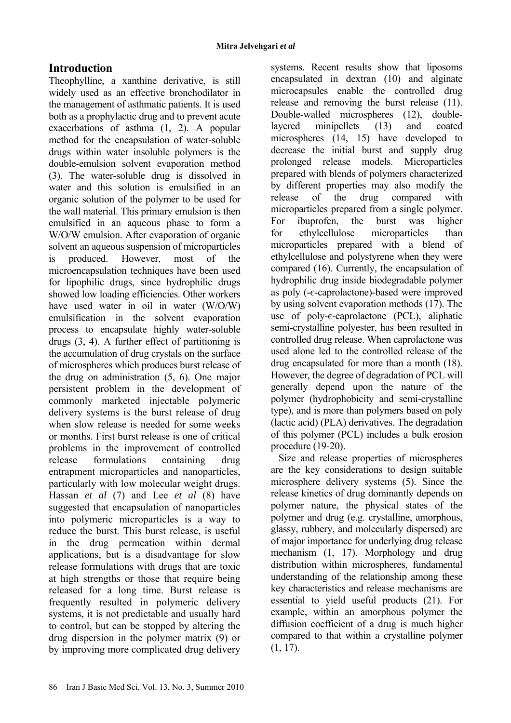# **Introduction**

Theophylline, a xanthine derivative, is still widely used as an effective bronchodilator in the management of asthmatic patients. It is used both as a prophylactic drug and to prevent acute exacerbations of asthma (1, 2). A popular method for the encapsulation of water-soluble drugs within water insoluble polymers is the double-emulsion solvent evaporation method (3). The water-soluble drug is dissolved in water and this solution is emulsified in an organic solution of the polymer to be used for the wall material. This primary emulsion is then emulsified in an aqueous phase to form a W/O/W emulsion. After evaporation of organic solvent an aqueous suspension of microparticles is produced. However, most of the microencapsulation techniques have been used for lipophilic drugs, since hydrophilic drugs showed low loading efficiencies. Other workers have used water in oil in water (W/O/W) emulsification in the solvent evaporation process to encapsulate highly water-soluble drugs (3, 4). A further effect of partitioning is the accumulation of drug crystals on the surface of microspheres which produces burst release of the drug on administration (5, 6). One major persistent problem in the development of commonly marketed injectable polymeric delivery systems is the burst release of drug when slow release is needed for some weeks or months. First burst release is one of critical problems in the improvement of controlled release formulations containing drug entrapment microparticles and nanoparticles, particularly with low molecular weight drugs. Hassan *et al* (7) and Lee *et al* (8) have suggested that encapsulation of nanoparticles into polymeric microparticles is a way to reduce the burst. This burst release, is useful in the drug permeation within dermal applications, but is a disadvantage for slow release formulations with drugs that are toxic at high strengths or those that require being released for a long time. Burst release is frequently resulted in polymeric delivery systems, it is not predictable and usually hard to control, but can be stopped by altering the drug dispersion in the polymer matrix (9) or by improving more complicated drug delivery

systems. Recent results show that liposoms encapsulated in dextran (10) and alginate microcapsules enable the controlled drug release and removing the burst release (11). Double-walled microspheres (12), doublelayered minipellets (13) and coated microspheres (14, 15) have developed to decrease the initial burst and supply drug prolonged release models. Microparticles prepared with blends of polymers characterized by different properties may also modify the release of the drug compared with microparticles prepared from a single polymer. For ibuprofen, the burst was higher for ethylcellulose microparticles than microparticles prepared with a blend of ethylcellulose and polystyrene when they were compared (16). Currently, the encapsulation of hydrophilic drug inside biodegradable polymer as poly (-є-caprolactone)-based were improved by using solvent evaporation methods (17). The use of poly-є-caprolactone (PCL), aliphatic semi-crystalline polyester, has been resulted in controlled drug release. When caprolactone was used alone led to the controlled release of the drug encapsulated for more than a month (18). However, the degree of degradation of PCL will generally depend upon the nature of the polymer (hydrophobicity and semi-crystalline type), and is more than polymers based on poly (lactic acid) (PLA) derivatives. The degradation of this polymer (PCL) includes a bulk erosion procedure (19-20).

Size and release properties of microspheres are the key considerations to design suitable microsphere delivery systems (5). Since the release kinetics of drug dominantly depends on polymer nature, the physical states of the polymer and drug (e.g. crystalline, amorphous, glassy, rubbery, and molecularly dispersed) are of major importance for underlying drug release mechanism (1, 17). Morphology and drug distribution within microspheres, fundamental understanding of the relationship among these key characteristics and release mechanisms are essential to yield useful products (21). For example, within an amorphous polymer the diffusion coefficient of a drug is much higher compared to that within a crystalline polymer (1, 17).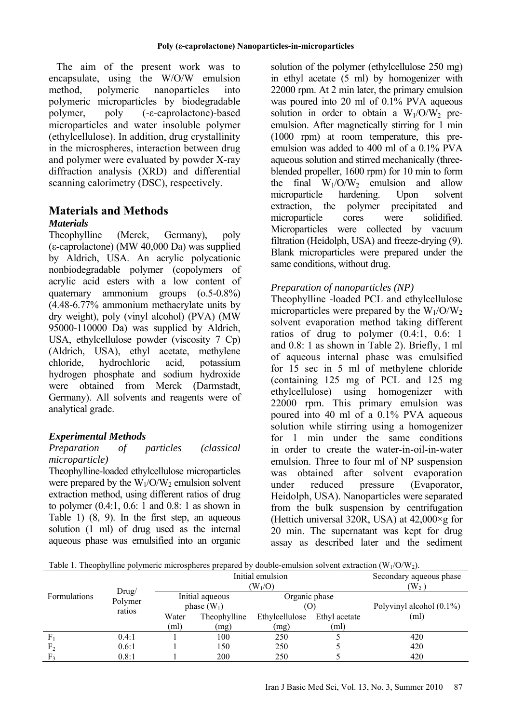The aim of the present work was to encapsulate, using the W/O/W emulsion method, polymeric nanoparticles into polymeric microparticles by biodegradable polymer, poly (-ε-caprolactone)-based microparticles and water insoluble polymer (ethylcellulose). In addition, drug crystallinity in the microspheres, interaction between drug and polymer were evaluated by powder X-ray diffraction analysis (XRD) and differential scanning calorimetry (DSC), respectively.

# **Materials and Methods**

### *Materials*

Theophylline (Merck, Germany), poly (ε-caprolactone) (MW 40,000 Da) was supplied by Aldrich, USA. An acrylic polycationic nonbiodegradable polymer (copolymers of acrylic acid esters with a low content of quaternary ammonium groups (o.5-0.8%) (4.48-6.77% ammonium methacrylate units by dry weight), poly (vinyl alcohol) (PVA) (MW 95000-110000 Da) was supplied by Aldrich, USA, ethylcellulose powder (viscosity 7 Cp) (Aldrich, USA), ethyl acetate, methylene chloride, hydrochloric acid, potassium hydrogen phosphate and sodium hydroxide were obtained from Merck (Darmstadt, Germany). All solvents and reagents were of analytical grade.

# *Experimental Methods*

### *Preparation of particles (classical microparticle)*

Theophylline-loaded ethylcellulose microparticles were prepared by the  $W_1/O/W_2$  emulsion solvent extraction method, using different ratios of drug to polymer (0.4:1, 0.6: 1 and 0.8: 1 as shown in Table 1) (8, 9). In the first step, an aqueous solution (1 ml) of drug used as the internal aqueous phase was emulsified into an organic solution of the polymer (ethylcellulose 250 mg) in ethyl acetate (5 ml) by homogenizer with 22000 rpm. At 2 min later, the primary emulsion was poured into 20 ml of 0.1% PVA aqueous solution in order to obtain a  $W_1/O/W_2$  preemulsion. After magnetically stirring for 1 min (1000 rpm) at room temperature, this preemulsion was added to 400 ml of a 0.1% PVA aqueous solution and stirred mechanically (threeblended propeller, 1600 rpm) for 10 min to form the final  $W_1/O/W_2$  emulsion and allow<br>microparticle hardening. Upon solvent microparticle hardening. Upon solvent extraction, the polymer precipitated and microparticle cores were solidified. Microparticles were collected by vacuum filtration (Heidolph, USA) and freeze-drying (9). Blank microparticles were prepared under the same conditions, without drug.

# *Preparation of nanoparticles (NP)*

Theophylline -loaded PCL and ethylcellulose microparticles were prepared by the  $W_1/O/W_2$ solvent evaporation method taking different ratios of drug to polymer (0.4:1, 0.6: 1 and 0.8: 1 as shown in Table 2). Briefly, 1 ml of aqueous internal phase was emulsified for 15 sec in 5 ml of methylene chloride (containing 125 mg of PCL and 125 mg ethylcellulose) using homogenizer with 22000 rpm. This primary emulsion was poured into 40 ml of a 0.1% PVA aqueous solution while stirring using a homogenizer for 1 min under the same conditions in order to create the water-in-oil-in-water emulsion. Three to four ml of NP suspension was obtained after solvent evaporation under reduced pressure (Evaporator, Heidolph, USA). Nanoparticles were separated from the bulk suspension by centrifugation (Hettich universal 320R, USA) at  $42,000 \times g$  for 20 min. The supernatant was kept for drug assay as described later and the sediment

|  |  |  |  |  | Table 1. Theophylline polymeric microspheres prepared by double-emulsion solvent extraction $(W_1/O/W_2)$ . |  |  |
|--|--|--|--|--|-------------------------------------------------------------------------------------------------------------|--|--|
|--|--|--|--|--|-------------------------------------------------------------------------------------------------------------|--|--|

|                |                   |                                  | Initial emulsion | Secondary aqueous phase         |      |                             |
|----------------|-------------------|----------------------------------|------------------|---------------------------------|------|-----------------------------|
| Formulations   | Drug/             | Initial aqueous<br>phase $(W_1)$ |                  | $(W_1/O)$<br>Organic phase      |      | $\mathbb{W}_2$ )            |
|                | Polymer<br>ratios |                                  |                  | (O)                             |      | Polyvinyl alcohol $(0.1\%)$ |
|                |                   | Water                            | Theophylline     | Ethylcellulose<br>Ethyl acetate |      | (ml)                        |
|                |                   | (ml)                             | (mg)             | (mg)                            | (ml) |                             |
| $F_1$          | 0.4:1             |                                  | 100              | 250                             |      | 420                         |
| F <sub>2</sub> | 0.6:1             |                                  | 150              | 250                             |      | 420                         |
|                | 0.8:1             |                                  | 200              | 250                             |      | 420                         |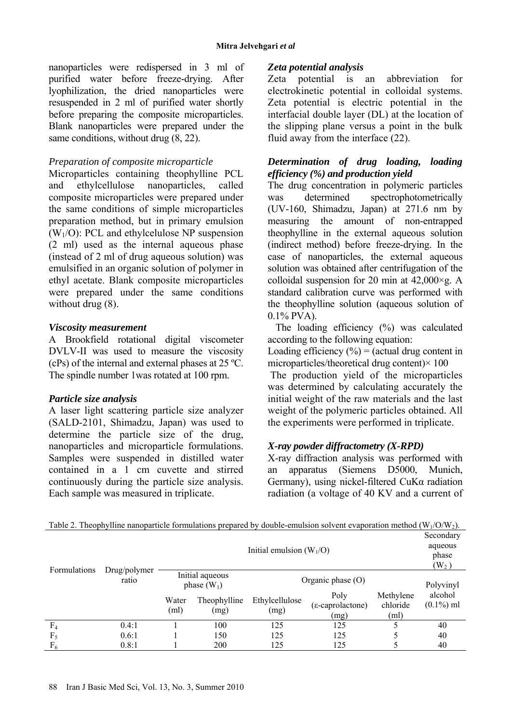nanoparticles were redispersed in 3 ml of purified water before freeze-drying. After lyophilization, the dried nanoparticles were resuspended in 2 ml of purified water shortly before preparing the composite microparticles. Blank nanoparticles were prepared under the same conditions, without drug  $(8, 22)$ .

# *Preparation of composite microparticle*

Microparticles containing theophylline PCL and ethylcellulose nanoparticles, called composite microparticles were prepared under the same conditions of simple microparticles preparation method, but in primary emulsion  $(W_1/O)$ : PCL and ethylcelulose NP suspension (2 ml) used as the internal aqueous phase (instead of 2 ml of drug aqueous solution) was emulsified in an organic solution of polymer in ethyl acetate. Blank composite microparticles were prepared under the same conditions without drug  $(8)$ .

# *Viscosity measurement*

A Brookfield rotational digital viscometer DVLV-II was used to measure the viscosity (cPs) of the internal and external phases at 25 ºC. The spindle number 1was rotated at 100 rpm.

# *Particle size analysis*

A laser light scattering particle size analyzer (SALD-2101, Shimadzu, Japan) was used to determine the particle size of the drug, nanoparticles and microparticle formulations. Samples were suspended in distilled water contained in a 1 cm cuvette and stirred continuously during the particle size analysis. Each sample was measured in triplicate.

# *Zeta potential analysis*

Zeta potential is an abbreviation for electrokinetic potential in colloidal systems. Zeta potential is electric potential in the interfacial double layer (DL) at the location of the slipping plane versus a point in the bulk fluid away from the interface (22).

# *Determination of drug loading, loading efficiency (%) and production yield*

The drug concentration in polymeric particles was determined spectrophotometrically (UV-160, Shimadzu, Japan) at 271.6 nm by measuring the amount of non-entrapped theophylline in the external aqueous solution (indirect method) before freeze-drying. In the case of nanoparticles, the external aqueous solution was obtained after centrifugation of the colloidal suspension for 20 min at  $42,000 \times g$ . A standard calibration curve was performed with the theophylline solution (aqueous solution of 0.1% PVA).

The loading efficiency (%) was calculated according to the following equation:

Loading efficiency  $(\% )$  = (actual drug content in microparticles/theoretical drug content)× 100

 The production yield of the microparticles was determined by calculating accurately the initial weight of the raw materials and the last weight of the polymeric particles obtained. All the experiments were performed in triplicate.

# *X-ray powder diffractometry (X-RPD)*

X-ray diffraction analysis was performed with an apparatus (Siemens D5000, Munich, Germany), using nickel-filtered CuKα radiation radiation (a voltage of 40 KV and a current of

|                |                       | Initial emulsion $(W_1/O)$                              |                      |                        |                                  |                               |                         |
|----------------|-----------------------|---------------------------------------------------------|----------------------|------------------------|----------------------------------|-------------------------------|-------------------------|
| Formulations   | Drug/polymer<br>ratio | Initial aqueous<br>Organic phase $(O)$<br>phase $(W_1)$ |                      |                        | Polyvinyl                        |                               |                         |
|                |                       | Water<br>(ml)                                           | Theophylline<br>(mg) | Ethylcellulose<br>(mg) | Poly<br>(ε-caprolactone)<br>(mg) | Methylene<br>chloride<br>(ml) | alcohol<br>$(0.1\%)$ ml |
| F <sub>4</sub> | 0.4:1                 |                                                         | 100                  | 125                    | 125                              |                               | 40                      |
| $F_5$          | 0.6:1                 |                                                         | 150                  | 125                    | 125                              |                               | 40                      |
| $F_6$          | 0.8:1                 |                                                         | 200                  | 125                    | 125                              |                               | 40                      |

Table 2. Theophylline nanoparticle formulations prepared by double-emulsion solvent evaporation method ( $W_1/O/W_2$ ).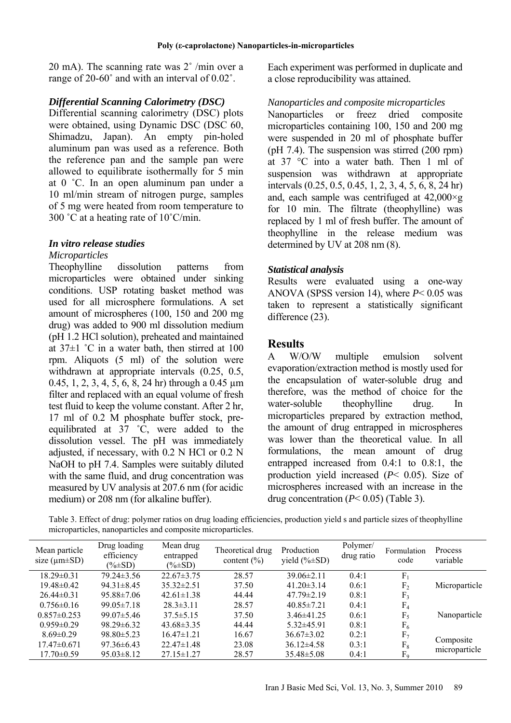20 mA). The scanning rate was 2˚ /min over a range of 20-60˚ and with an interval of 0.02˚.

### *Differential Scanning Calorimetry (DSC)*

Differential scanning calorimetry (DSC) plots were obtained, using Dynamic DSC (DSC 60, Shimadzu, Japan). An empty pin-holed aluminum pan was used as a reference. Both the reference pan and the sample pan were allowed to equilibrate isothermally for 5 min at 0 ˚C. In an open aluminum pan under a 10 ml/min stream of nitrogen purge, samples of 5 mg were heated from room temperature to 300 °C at a heating rate of  $10^{\circ}$ C/min.

### *In vitro release studies*

#### *Microparticles*

Theophylline dissolution patterns from microparticles were obtained under sinking conditions. USP rotating basket method was used for all microsphere formulations. A set amount of microspheres (100, 150 and 200 mg drug) was added to 900 ml dissolution medium (pH 1.2 HCl solution), preheated and maintained at  $37\pm1$  °C in a water bath, then stirred at 100 rpm. Aliquots (5 ml) of the solution were withdrawn at appropriate intervals (0.25, 0.5, 0.45, 1, 2, 3, 4, 5, 6, 8, 24 hr) through a 0.45  $\mu$ m filter and replaced with an equal volume of fresh test fluid to keep the volume constant. After 2 hr, 17 ml of 0.2 M phosphate buffer stock, preequilibrated at 37 ˚C, were added to the dissolution vessel. The pH was immediately adjusted, if necessary, with 0.2 N HCl or 0.2 N NaOH to pH 7.4. Samples were suitably diluted with the same fluid, and drug concentration was measured by UV analysis at 207.6 nm (for acidic medium) or 208 nm (for alkaline buffer).

Each experiment was performed in duplicate and a close reproducibility was attained.

### *Nanoparticles and composite microparticles*

Nanoparticles or freez dried composite microparticles containing 100, 150 and 200 mg were suspended in 20 ml of phosphate buffer (pH 7.4). The suspension was stirred (200 rpm) at 37 °C into a water bath. Then 1 ml of suspension was withdrawn at appropriate intervals (0.25, 0.5, 0.45, 1, 2, 3, 4, 5, 6, 8, 24 hr) and, each sample was centrifuged at 42,000×g for 10 min. The filtrate (theophylline) was replaced by 1 ml of fresh buffer. The amount of theophylline in the release medium was determined by UV at 208 nm (8).

### *Statistical analysis*

Results were evaluated using a one-way ANOVA (SPSS version 14), where *P*< 0.05 was taken to represent a statistically significant difference  $(23)$ .

### **Results**

A W/O/W multiple emulsion solvent evaporation/extraction method is mostly used for the encapsulation of water-soluble drug and therefore, was the method of choice for the water-soluble theophylline drug. In microparticles prepared by extraction method, the amount of drug entrapped in microspheres was lower than the theoretical value. In all formulations, the mean amount of drug entrapped increased from 0.4:1 to 0.8:1, the production yield increased (*P*< 0.05). Size of microspheres increased with an increase in the drug concentration (*P*< 0.05) (Table 3).

Table 3. Effect of drug: polymer ratios on drug loading efficiencies, production yield s and particle sizes of theophylline microparticles, nanoparticles and composite microparticles.

| Mean particle<br>size $(\mu m \pm SD)$ | Drug loading<br>efficiency<br>$(\% \pm SD)$ | Mean drug<br>entrapped<br>$(\% \pm SD)$ | Theoretical drug<br>content $(\% )$ | Production<br>yield $(\% \pm SD)$ | Polymer/<br>drug ratio | Formulation<br>code | Process<br>variable |
|----------------------------------------|---------------------------------------------|-----------------------------------------|-------------------------------------|-----------------------------------|------------------------|---------------------|---------------------|
| $18.29 \pm 0.31$                       | $79.24 \pm 3.56$                            | $22.67\pm3.75$                          | 28.57                               | $39.06\pm2.11$                    | 0.4:1                  | $F_1$               |                     |
| $19.48 \pm 0.42$                       | $94.31 \pm 8.45$                            | $35.32 \pm 2.51$                        | 37.50                               | $41.20 \pm 3.14$                  | 0.6:1                  | F <sub>2</sub>      | Microparticle       |
| $26.44 \pm 0.31$                       | $95.88 \pm 7.06$                            | $42.61 \pm 1.38$                        | 44.44                               | $47.79 \pm 2.19$                  | 0.8:1                  | F <sub>3</sub>      |                     |
| $0.756 \pm 0.16$                       | $99.05 \pm 7.18$                            | $28.3 \pm 3.11$                         | 28.57                               | $40.85 \pm 7.21$                  | 0.4:1                  | F <sub>4</sub>      |                     |
| $0.857 \pm 0.253$                      | $99.07 \pm 5.46$                            | $37.5 \pm 5.15$                         | 37.50                               | $3.46\pm41.25$                    | 0.6:1                  | $F_5$               | Nanoparticle        |
| $0.959 \pm 0.29$                       | $98.29 \pm 6.32$                            | $43.68 \pm 3.35$                        | 44.44                               | $5.32\pm45.91$                    | 0.8:1                  | $F_6$               |                     |
| $8.69 \pm 0.29$                        | $98.80 \pm 5.23$                            | $16.47\pm1.21$                          | 16.67                               | $36.67 \pm 3.02$                  | 0.2:1                  | F <sub>7</sub>      |                     |
| $17.47 \pm 0.671$                      | $97.36\pm 6.43$                             | $22.47\pm1.48$                          | 23.08                               | $36.12\pm4.58$                    | 0.3:1                  | $F_8$               | Composite           |
| $17.70 \pm 0.59$                       | $95.03 \pm 8.12$                            | $27.15 \pm 1.27$                        | 28.57                               | $35.48 \pm 5.08$                  | 0.4:1                  | F <sub>9</sub>      | microparticle       |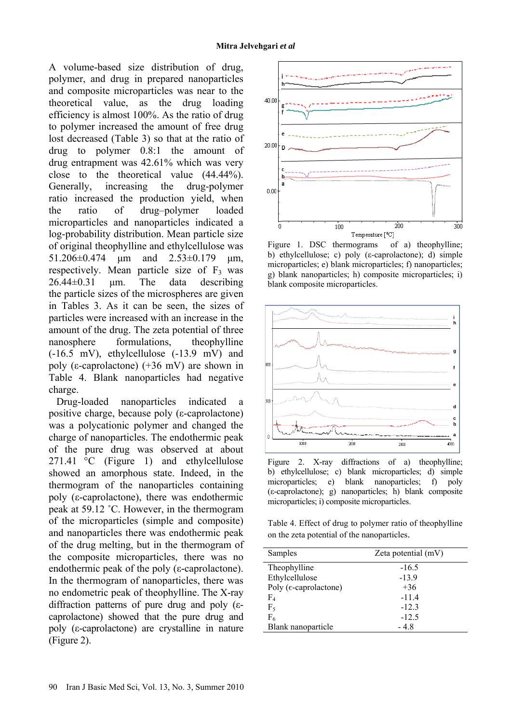A volume-based size distribution of drug, polymer, and drug in prepared nanoparticles and composite microparticles was near to the theoretical value, as the drug loading efficiency is almost 100%. As the ratio of drug to polymer increased the amount of free drug lost decreased (Table 3) so that at the ratio of drug to polymer 0.8:1 the amount of drug entrapment was 42.61% which was very close to the theoretical value (44.44%). Generally, increasing the drug-polymer ratio increased the production yield, when the ratio of drug–polymer loaded microparticles and nanoparticles indicated a log-probability distribution. Mean particle size of original theophylline and ethylcellulose was 51.206±0.474 µm and 2.53±0.179 µm, respectively. Mean particle size of  $F_3$  was  $26.44\pm0.31$  um. The data describing the particle sizes of the microspheres are given in Tables 3. As it can be seen, the sizes of particles were increased with an increase in the amount of the drug. The zeta potential of three nanosphere formulations, theophylline (-16.5 mV), ethylcellulose (-13.9 mV) and poly ( $\varepsilon$ -caprolactone) (+36 mV) are shown in Table 4. Blank nanoparticles had negative charge.

Drug-loaded nanoparticles indicated a positive charge, because poly (ε-caprolactone) was a polycationic polymer and changed the charge of nanoparticles. The endothermic peak of the pure drug was observed at about 271.41  $\degree$ C (Figure 1) and ethylcellulose showed an amorphous state. Indeed, in the thermogram of the nanoparticles containing poly (ε-caprolactone), there was endothermic peak at 59.12 ˚C. However, in the thermogram of the microparticles (simple and composite) and nanoparticles there was endothermic peak of the drug melting, but in the thermogram of the composite microparticles, there was no endothermic peak of the poly (ε-caprolactone). In the thermogram of nanoparticles, there was no endometric peak of theophylline. The X-ray diffraction patterns of pure drug and poly (εcaprolactone) showed that the pure drug and poly (ε-caprolactone) are crystalline in nature (Figure 2).



Figure 1. DSC thermograms of a) theophylline; b) ethylcellulose; c) poly (ε-caprolactone); d) simple microparticles; e) blank microparticles; f) nanoparticles; g) blank nanoparticles; h) composite microparticles; i) blank composite microparticles.



Figure 2. X-ray diffractions of a) theophylline; b) ethylcellulose; c) blank microparticles; d) simple microparticles; e) blank nanoparticles; f) poly (ε-caprolactone); g) nanoparticles; h) blank composite microparticles; i) composite microparticles.

Table 4. Effect of drug to polymer ratio of theophylline on the zeta potential of the nanoparticles.

| Samples                          | Zeta potential $(mV)$ |
|----------------------------------|-----------------------|
| Theophylline                     | $-16.5$               |
| Ethylcellulose                   | $-13.9$               |
| Poly ( $\epsilon$ -caprolactone) | $+36$                 |
| $F_4$                            | $-11.4$               |
| $F_5$                            | $-12.3$               |
| $F_6$                            | $-12.5$               |
| Blank nanoparticle               | $-4.8$                |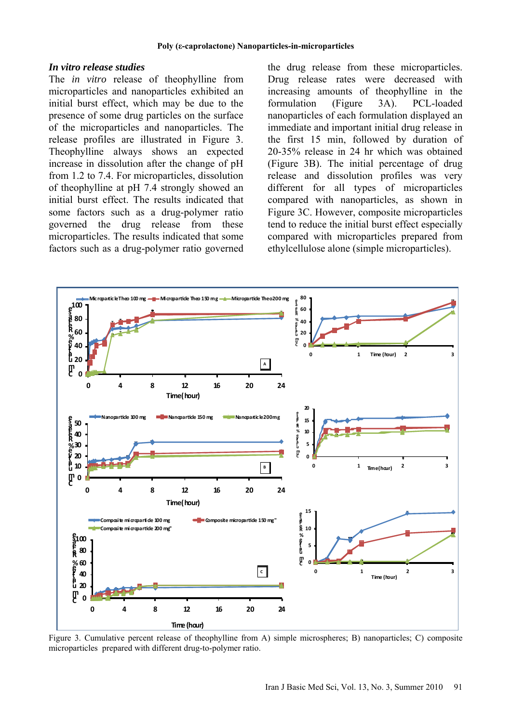#### *In vitro release studies*

The *in vitro* release of theophylline from microparticles and nanoparticles exhibited an initial burst effect, which may be due to the presence of some drug particles on the surface of the microparticles and nanoparticles. The release profiles are illustrated in Figure 3. Theophylline always shows an expected increase in dissolution after the change of pH from 1.2 to 7.4. For microparticles, dissolution of theophylline at pH 7.4 strongly showed an initial burst effect. The results indicated that some factors such as a drug-polymer ratio governed the drug release from these microparticles. The results indicated that some factors such as a drug-polymer ratio governed the drug release from these microparticles. Drug release rates were decreased with increasing amounts of theophylline in the formulation (Figure 3A). PCL-loaded nanoparticles of each formulation displayed an immediate and important initial drug release in the first 15 min, followed by duration of 20-35% release in 24 hr which was obtained (Figure 3B). The initial percentage of drug release and dissolution profiles was very different for all types of microparticles compared with nanoparticles, as shown in Figure 3C. However, composite microparticles tend to reduce the initial burst effect especially compared with microparticles prepared from ethylcellulose alone (simple microparticles).



Figure 3. Cumulative percent release of theophylline from A) simple microspheres; B) nanoparticles; C) composite microparticles prepared with different drug-to-polymer ratio.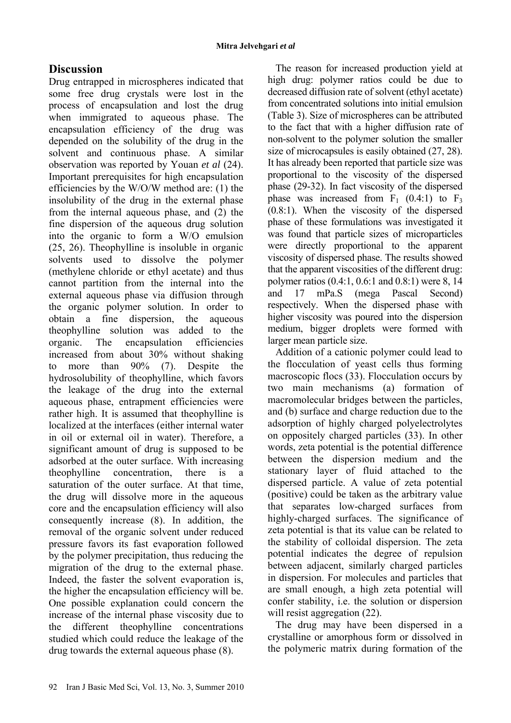# **Discussion**

Drug entrapped in microspheres indicated that some free drug crystals were lost in the process of encapsulation and lost the drug when immigrated to aqueous phase. The encapsulation efficiency of the drug was depended on the solubility of the drug in the solvent and continuous phase. A similar observation was reported by Youan *et al* (24). Important prerequisites for high encapsulation efficiencies by the W/O/W method are: (1) the insolubility of the drug in the external phase from the internal aqueous phase, and (2) the fine dispersion of the aqueous drug solution into the organic to form a W/O emulsion (25, 26). Theophylline is insoluble in organic solvents used to dissolve the polymer (methylene chloride or ethyl acetate) and thus cannot partition from the internal into the external aqueous phase via diffusion through the organic polymer solution. In order to obtain a fine dispersion, the aqueous theophylline solution was added to the organic. The encapsulation efficiencies increased from about 30% without shaking to more than 90% (7). Despite the hydrosolubility of theophylline, which favors the leakage of the drug into the external aqueous phase, entrapment efficiencies were rather high. It is assumed that theophylline is localized at the interfaces (either internal water in oil or external oil in water). Therefore, a significant amount of drug is supposed to be adsorbed at the outer surface. With increasing theophylline concentration, there is a saturation of the outer surface. At that time, the drug will dissolve more in the aqueous core and the encapsulation efficiency will also consequently increase (8). In addition, the removal of the organic solvent under reduced pressure favors its fast evaporation followed by the polymer precipitation, thus reducing the migration of the drug to the external phase. Indeed, the faster the solvent evaporation is, the higher the encapsulation efficiency will be. One possible explanation could concern the increase of the internal phase viscosity due to the different theophylline concentrations studied which could reduce the leakage of the drug towards the external aqueous phase (8).

The reason for increased production yield at high drug: polymer ratios could be due to decreased diffusion rate of solvent (ethyl acetate) from concentrated solutions into initial emulsion (Table 3). Size of microspheres can be attributed to the fact that with a higher diffusion rate of non-solvent to the polymer solution the smaller size of microcapsules is easily obtained (27, 28). It has already been reported that particle size was proportional to the viscosity of the dispersed phase (29-32). In fact viscosity of the dispersed phase was increased from  $F_1$  (0.4:1) to  $F_3$ (0.8:1). When the viscosity of the dispersed phase of these formulations was investigated it was found that particle sizes of microparticles were directly proportional to the apparent viscosity of dispersed phase. The results showed that the apparent viscosities of the different drug: polymer ratios (0.4:1, 0.6:1 and 0.8:1) were 8, 14 and 17 mPa.S (mega Pascal Second) respectively. When the dispersed phase with higher viscosity was poured into the dispersion medium, bigger droplets were formed with larger mean particle size.

Addition of a cationic polymer could lead to the flocculation of yeast cells thus forming macroscopic flocs (33). Flocculation occurs by two main mechanisms (a) formation of macromolecular bridges between the particles, and (b) surface and charge reduction due to the adsorption of highly charged polyelectrolytes on oppositely charged particles (33). In other words, zeta potential is the potential difference between the dispersion medium and the stationary layer of fluid attached to the dispersed particle. A value of zeta potential (positive) could be taken as the arbitrary value that separates low-charged surfaces from highly-charged surfaces. The significance of zeta potential is that its value can be related to the stability of colloidal dispersion. The zeta potential indicates the degree of repulsion between adjacent, similarly charged particles in dispersion. For molecules and particles that are small enough, a high zeta potential will confer stability, i.e. the solution or dispersion will resist aggregation  $(22)$ .

The drug may have been dispersed in a crystalline or amorphous form or dissolved in the polymeric matrix during formation of the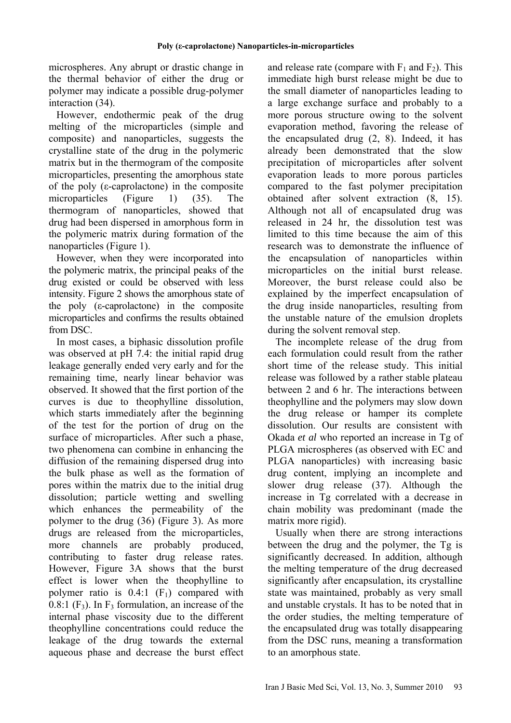microspheres. Any abrupt or drastic change in the thermal behavior of either the drug or polymer may indicate a possible drug-polymer interaction (34).

However, endothermic peak of the drug melting of the microparticles (simple and composite) and nanoparticles, suggests the crystalline state of the drug in the polymeric matrix but in the thermogram of the composite microparticles, presenting the amorphous state of the poly (ε-caprolactone) in the composite microparticles (Figure 1) (35). The thermogram of nanoparticles, showed that drug had been dispersed in amorphous form in the polymeric matrix during formation of the nanoparticles (Figure 1).

However, when they were incorporated into the polymeric matrix, the principal peaks of the drug existed or could be observed with less intensity. Figure 2 shows the amorphous state of the poly (ε-caprolactone) in the composite microparticles and confirms the results obtained from DSC.

In most cases, a biphasic dissolution profile was observed at pH 7.4: the initial rapid drug leakage generally ended very early and for the remaining time, nearly linear behavior was observed. It showed that the first portion of the curves is due to theophylline dissolution, which starts immediately after the beginning of the test for the portion of drug on the surface of microparticles. After such a phase, two phenomena can combine in enhancing the diffusion of the remaining dispersed drug into the bulk phase as well as the formation of pores within the matrix due to the initial drug dissolution; particle wetting and swelling which enhances the permeability of the polymer to the drug (36) (Figure 3). As more drugs are released from the microparticles, more channels are probably produced, contributing to faster drug release rates. However, Figure 3A shows that the burst effect is lower when the theophylline to polymer ratio is  $0.4:1$  (F<sub>1</sub>) compared with  $0.8:1$  (F<sub>3</sub>). In F<sub>3</sub> formulation, an increase of the internal phase viscosity due to the different theophylline concentrations could reduce the leakage of the drug towards the external aqueous phase and decrease the burst effect

and release rate (compare with  $F_1$  and  $F_2$ ). This immediate high burst release might be due to the small diameter of nanoparticles leading to a large exchange surface and probably to a more porous structure owing to the solvent evaporation method, favoring the release of the encapsulated drug (2, 8). Indeed, it has already been demonstrated that the slow precipitation of microparticles after solvent evaporation leads to more porous particles compared to the fast polymer precipitation obtained after solvent extraction (8, 15). Although not all of encapsulated drug was released in 24 hr, the dissolution test was limited to this time because the aim of this research was to demonstrate the influence of the encapsulation of nanoparticles within microparticles on the initial burst release. Moreover, the burst release could also be explained by the imperfect encapsulation of the drug inside nanoparticles, resulting from the unstable nature of the emulsion droplets during the solvent removal step.

The incomplete release of the drug from each formulation could result from the rather short time of the release study. This initial release was followed by a rather stable plateau between 2 and 6 hr. The interactions between theophylline and the polymers may slow down the drug release or hamper its complete dissolution. Our results are consistent with Okada *et al* who reported an increase in Tg of PLGA microspheres (as observed with EC and PLGA nanoparticles) with increasing basic drug content, implying an incomplete and slower drug release (37). Although the increase in Tg correlated with a decrease in chain mobility was predominant (made the matrix more rigid).

Usually when there are strong interactions between the drug and the polymer, the Tg is significantly decreased. In addition, although the melting temperature of the drug decreased significantly after encapsulation, its crystalline state was maintained, probably as very small and unstable crystals. It has to be noted that in the order studies, the melting temperature of the encapsulated drug was totally disappearing from the DSC runs, meaning a transformation to an amorphous state.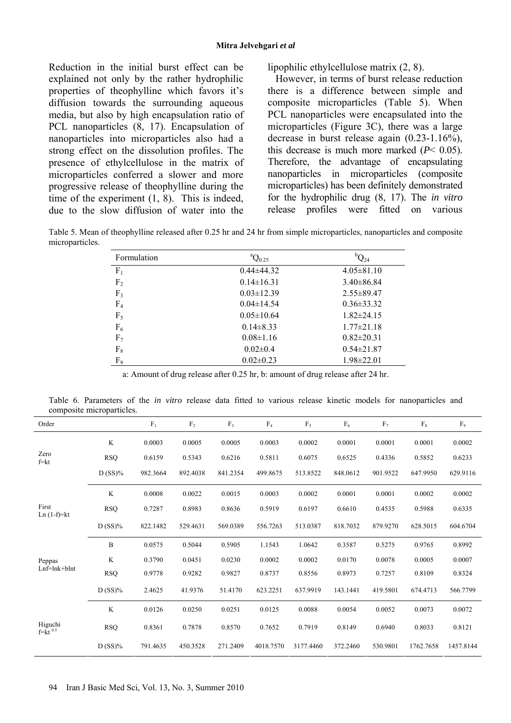Reduction in the initial burst effect can be explained not only by the rather hydrophilic properties of theophylline which favors it's diffusion towards the surrounding aqueous media, but also by high encapsulation ratio of PCL nanoparticles (8, 17). Encapsulation of nanoparticles into microparticles also had a strong effect on the dissolution profiles. The presence of ethylcellulose in the matrix of microparticles conferred a slower and more progressive release of theophylline during the time of the experiment (1, 8). This is indeed, due to the slow diffusion of water into the

lipophilic ethylcellulose matrix (2, 8).

However, in terms of burst release reduction there is a difference between simple and composite microparticles (Table 5). When PCL nanoparticles were encapsulated into the microparticles (Figure 3C), there was a large decrease in burst release again (0.23-1.16%), this decrease is much more marked (*P*< 0.05). Therefore, the advantage of encapsulating nanoparticles in microparticles (composite microparticles) has been definitely demonstrated for the hydrophilic drug (8, 17). The *in vitro* release profiles were fitted on various

Table 5. Mean of theophylline released after 0.25 hr and 24 hr from simple microparticles, nanoparticles and composite microparticles.

| Formulation    | ${}^aQ_{0.25}$   | ${}^{\text{b}}\mathrm{Q}_{24}$ |
|----------------|------------------|--------------------------------|
| $F_1$          | $0.44\pm44.32$   | $4.05 \pm 81.10$               |
| F <sub>2</sub> | $0.14 \pm 16.31$ | $3.40\pm86.84$                 |
| F <sub>3</sub> | $0.03 \pm 12.39$ | $2.55 \pm 89.47$               |
| F <sub>4</sub> | $0.04 \pm 14.54$ | $0.36 \pm 33.32$               |
| $F_5$          | $0.05 \pm 10.64$ | $1.82 \pm 24.15$               |
| $F_6$          | $0.14\pm8.33$    | $1.77 \pm 21.18$               |
| F <sub>7</sub> | $0.08 \pm 1.16$  | $0.82 \pm 20.31$               |
| $F_8$          | $0.02 \pm 0.4$   | $0.54\pm21.87$                 |
| $F_9$          | $0.02 \pm 0.23$  | $1.98 \pm 22.01$               |

a: Amount of drug release after 0.25 hr, b: amount of drug release after 24 hr.

Table 6. Parameters of the *in vitro* release data fitted to various release kinetic models for nanoparticles and composite microparticles.

| Order                   |            | F <sub>1</sub> | $\rm{F}_2$ | F <sub>3</sub> | F <sub>4</sub> | F <sub>5</sub> | $\mathrm{F}_6$ | F <sub>7</sub> | $F_8$     | F <sub>9</sub> |
|-------------------------|------------|----------------|------------|----------------|----------------|----------------|----------------|----------------|-----------|----------------|
|                         | K          | 0.0003         | 0.0005     | 0.0005         | 0.0003         | 0.0002         | 0.0001         | 0.0001         | 0.0001    | 0.0002         |
| Zero<br>$f=kt$          | <b>RSQ</b> | 0.6159         | 0.5343     | 0.6216         | 0.5811         | 0.6075         | 0.6525         | 0.4336         | 0.5852    | 0.6233         |
|                         | $D(SS)\%$  | 982.3664       | 892.4038   | 841.2354       | 499.8675       | 513.8522       | 848.0612       | 901.9522       | 647.9950  | 629.9116       |
|                         | K          | 0.0008         | 0.0022     | 0.0015         | 0.0003         | 0.0002         | 0.0001         | 0.0001         | 0.0002    | 0.0002         |
| First<br>Ln $(1-f)=kt$  | <b>RSQ</b> | 0.7287         | 0.8983     | 0.8636         | 0.5919         | 0.6197         | 0.6610         | 0.4535         | 0.5988    | 0.6335         |
|                         | $D(SS)\%$  | 822.1482       | 529.4631   | 569.0389       | 556.7263       | 513.0387       | 818.7032       | 879.9270       | 628.5015  | 604.6704       |
|                         | B          | 0.0575         | 0.5044     | 0.5905         | 1.1543         | 1.0642         | 0.3587         | 0.5275         | 0.9765    | 0.8992         |
| Peppas                  | K          | 0.3790         | 0.0451     | 0.0230         | 0.0002         | 0.0002         | 0.0170         | 0.0078         | 0.0005    | 0.0007         |
| $Lnf=lnk+blnt$          | <b>RSQ</b> | 0.9778         | 0.9282     | 0.9827         | 0.8737         | 0.8556         | 0.8973         | 0.7257         | 0.8109    | 0.8324         |
|                         | $D(SS)\%$  | 2.4625         | 41.9376    | 51.4170        | 623.2251       | 637.9919       | 143.1441       | 419.5801       | 674.4713  | 566.7799       |
|                         | K          | 0.0126         | 0.0250     | 0.0251         | 0.0125         | 0.0088         | 0.0054         | 0.0052         | 0.0073    | 0.0072         |
| Higuchi<br>$f=kt^{0.5}$ | <b>RSQ</b> | 0.8361         | 0.7878     | 0.8570         | 0.7652         | 0.7919         | 0.8149         | 0.6940         | 0.8033    | 0.8121         |
|                         | $D(SS)\%$  | 791.4635       | 450.3528   | 271.2409       | 4018.7570      | 3177.4460      | 372.2460       | 530.9801       | 1762.7658 | 1457.8144      |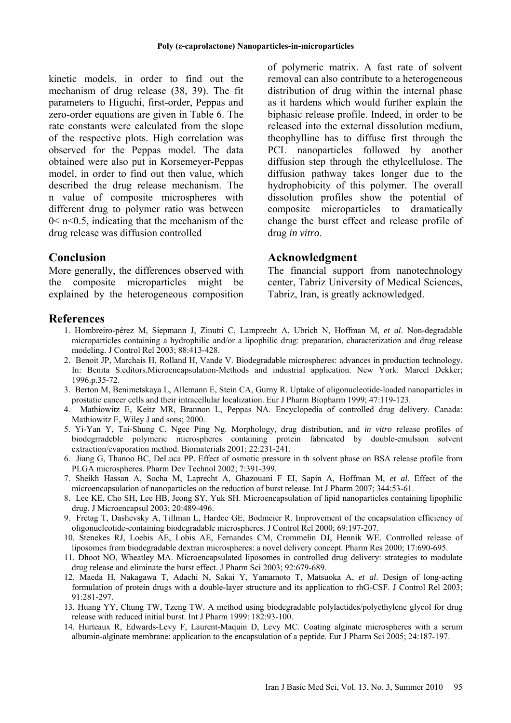kinetic models, in order to find out the mechanism of drug release (38, 39). The fit parameters to Higuchi, first-order, Peppas and zero-order equations are given in Table 6. The rate constants were calculated from the slope of the respective plots. High correlation was observed for the Peppas model. The data obtained were also put in Korsemeyer-Peppas model, in order to find out then value, which described the drug release mechanism. The n value of composite microspheres with different drug to polymer ratio was between  $0 \le n \le 0.5$ , indicating that the mechanism of the drug release was diffusion controlled

# **Conclusion**

More generally, the differences observed with the composite microparticles might be explained by the heterogeneous composition of polymeric matrix. A fast rate of solvent removal can also contribute to a heterogeneous distribution of drug within the internal phase as it hardens which would further explain the biphasic release profile. Indeed, in order to be released into the external dissolution medium, theophylline has to diffuse first through the PCL nanoparticles followed by another diffusion step through the ethylcellulose. The diffusion pathway takes longer due to the hydrophobicity of this polymer. The overall dissolution profiles show the potential of composite microparticles to dramatically change the burst effect and release profile of drug *in vitro*.

### **Acknowledgment**

The financial support from nanotechnology center, Tabriz University of Medical Sciences, Tabriz, Iran, is greatly acknowledged.

### **References**

- 1. Hombreiro-pérez M, Siepmann J, Zinutti C, Lamprecht A, Ubrich N, Hoffman M, *et al*. Non-degradable microparticles containing a hydrophilic and/or a lipophilic drug: preparation, characterization and drug release modeling. J Control Rel 2003; 88:413-428.
- 2. Benoit JP, Marchais H, Rolland H, Vande V. Biodegradable microspheres: advances in production technology. In: Benita S.editors.Microencapsulation-Methods and industrial application. New York: Marcel Dekker; 1996.p.35-72.
- 3. Berton M, Benimetskaya L, Allemann E, Stein CA, Gurny R. Uptake of oligonucleotide-loaded nanoparticles in prostatic cancer cells and their intracellular localization. Eur J Pharm Biopharm 1999; 47:119-123.
- 4. Mathiowitz E, Keitz MR, Brannon L, Peppas NA. Encyclopedia of controlled drug delivery. Canada: Mathiowitz E, Wiley J and sons; 2000.
- 5. Yi-Yan Y, Tai-Shung C, Ngee Ping Ng. Morphology, drug distribution, and *in vitro* release profiles of biodegrradeble polymeric microspheres containing protein fabricated by double-emulsion solvent extraction/evaporation method. Biomaterials 2001; 22:231-241.
- 6. Jiang G, Thanoo BC, DeLuca PP. Effect of osmotic pressure in th solvent phase on BSA release profile from PLGA microspheres. Pharm Dev Technol 2002; 7:391-399.
- 7. Sheikh Hassan A, Socha M, Laprecht A, Ghazouani F EI, Sapin A, Hoffman M, *et al*. Effect of the microencapsulation of nanoparticles on the reduction of burst release. Int J Pharm 2007; 344:53-61.
- 8. Lee KE, Cho SH, Lee HB, Jeong SY, Yuk SH. Microencapsulation of lipid nanoparticles containing lipophilic drug. J Microencapsul 2003; 20:489-496.
- 9. Fretag T, Dashevsky A, Tillman L, Hardee GE, Bodmeier R. Improvement of the encapsulation efficiency of oligonucleotide-containing biodegradable microspheres. J Control Rel 2000; 69:197-207.
- 10. Stenekes RJ, Loebis AE, Lobis AE, Fernandes CM, Crommelin DJ, Hennik WE. Controlled release of liposomes from biodegradable dextran microspheres: a novel delivery concept. Pharm Res 2000; 17:690-695.
- 11. Dhoot NO, Wheatley MA. Microencapsulated liposomes in controlled drug delivery: strategies to modulate drug release and eliminate the burst effect. J Pharm Sci 2003; 92:679-689.
- 12. Maeda H, Nakagawa T, Adachi N, Sakai Y, Yamamoto T, Matsuoka A, *et al*. Design of long-acting formulation of protein drugs with a double-layer structure and its application to rhG-CSF. J Control Rel 2003; 91:281-297.
- 13. Huang YY, Chung TW, Tzeng TW. A method using biodegradable polylactides/polyethylene glycol for drug release with reduced initial burst. Int J Pharm 1999: 182:93-100.
- 14. Hurteaux R, Edwards-Levy F, Laurent-Maquin D, Levy MC. Coating alginate microspheres with a serum albumin-alginate membrane: application to the encapsulation of a peptide. Eur J Pharm Sci 2005; 24:187-197.